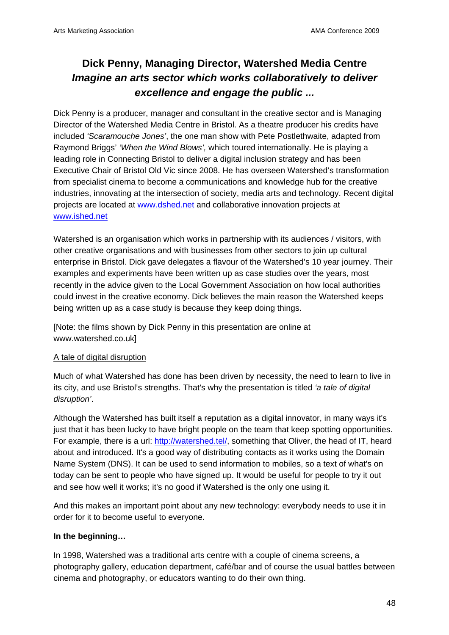# **Dick Penny, Managing Director, Watershed Media Centre**  *Imagine an arts sector which works collaboratively to deliver excellence and engage the public ...*

Dick Penny is a producer, manager and consultant in the creative sector and is Managing Director of the Watershed Media Centre in Bristol. As a theatre producer his credits have included *'Scaramouche Jones'*, the one man show with Pete Postlethwaite, adapted from Raymond Briggs' *'When the Wind Blows',* which toured internationally. He is playing a leading role in Connecting Bristol to deliver a digital inclusion strategy and has been Executive Chair of Bristol Old Vic since 2008. He has overseen Watershed's transformation from specialist cinema to become a communications and knowledge hub for the creative industries, innovating at the intersection of society, media arts and technology. Recent digital projects are located at www.dshed.net and collaborative innovation projects at www.ished.net

Watershed is an organisation which works in partnership with its audiences / visitors, with other creative organisations and with businesses from other sectors to join up cultural enterprise in Bristol. Dick gave delegates a flavour of the Watershed's 10 year journey. Their examples and experiments have been written up as case studies over the years, most recently in the advice given to the Local Government Association on how local authorities could invest in the creative economy. Dick believes the main reason the Watershed keeps being written up as a case study is because they keep doing things.

[Note: the films shown by Dick Penny in this presentation are online at www.watershed.co.uk]

## A tale of digital disruption

Much of what Watershed has done has been driven by necessity, the need to learn to live in its city, and use Bristol's strengths. That's why the presentation is titled *'a tale of digital disruption'*.

Although the Watershed has built itself a reputation as a digital innovator, in many ways it's just that it has been lucky to have bright people on the team that keep spotting opportunities. For example, there is a url: http://watershed.tel/, something that Oliver, the head of IT, heard about and introduced. It's a good way of distributing contacts as it works using the Domain Name System (DNS). It can be used to send information to mobiles, so a text of what's on today can be sent to people who have signed up. It would be useful for people to try it out and see how well it works; it's no good if Watershed is the only one using it.

And this makes an important point about any new technology: everybody needs to use it in order for it to become useful to everyone.

## **In the beginning…**

In 1998, Watershed was a traditional arts centre with a couple of cinema screens, a photography gallery, education department, café/bar and of course the usual battles between cinema and photography, or educators wanting to do their own thing.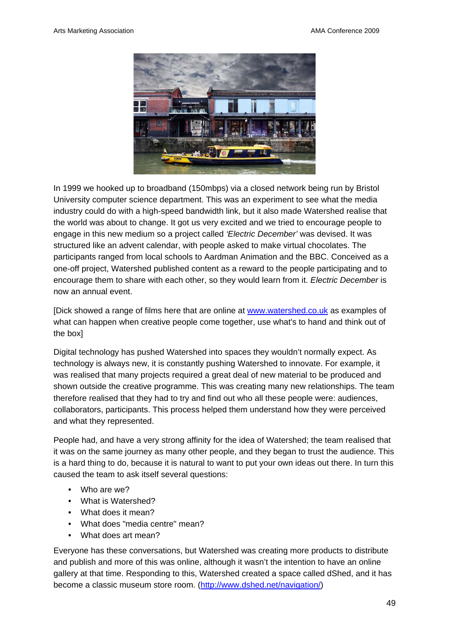

In 1999 we hooked up to broadband (150mbps) via a closed network being run by Bristol University computer science department. This was an experiment to see what the media industry could do with a high-speed bandwidth link, but it also made Watershed realise that the world was about to change. It got us very excited and we tried to encourage people to engage in this new medium so a project called *'Electric December'* was devised. It was structured like an advent calendar, with people asked to make virtual chocolates. The participants ranged from local schools to Aardman Animation and the BBC. Conceived as a one-off project, Watershed published content as a reward to the people participating and to encourage them to share with each other, so they would learn from it. *Electric December* is now an annual event.

[Dick showed a range of films here that are online at www.watershed.co.uk as examples of what can happen when creative people come together, use what's to hand and think out of the box]

Digital technology has pushed Watershed into spaces they wouldn't normally expect. As technology is always new, it is constantly pushing Watershed to innovate. For example, it was realised that many projects required a great deal of new material to be produced and shown outside the creative programme. This was creating many new relationships. The team therefore realised that they had to try and find out who all these people were: audiences, collaborators, participants. This process helped them understand how they were perceived and what they represented.

People had, and have a very strong affinity for the idea of Watershed; the team realised that it was on the same journey as many other people, and they began to trust the audience. This is a hard thing to do, because it is natural to want to put your own ideas out there. In turn this caused the team to ask itself several questions:

- Who are we?
- What is Watershed?
- What does it mean?
- What does "media centre" mean?
- What does art mean?

Everyone has these conversations, but Watershed was creating more products to distribute and publish and more of this was online, although it wasn't the intention to have an online gallery at that time. Responding to this, Watershed created a space called dShed, and it has become a classic museum store room. (http://www.dshed.net/navigation/)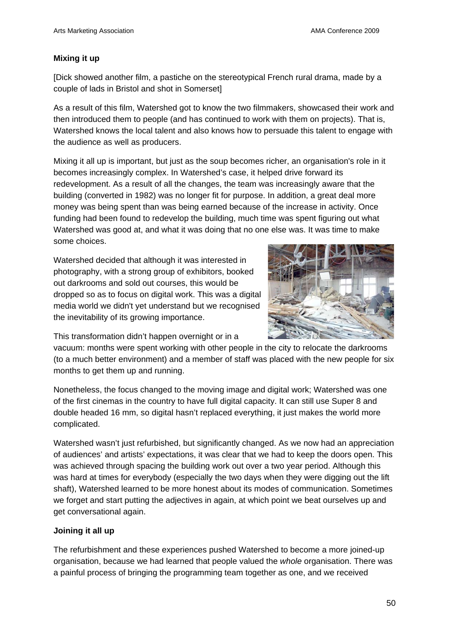## **Mixing it up**

[Dick showed another film, a pastiche on the stereotypical French rural drama, made by a couple of lads in Bristol and shot in Somerset]

As a result of this film, Watershed got to know the two filmmakers, showcased their work and then introduced them to people (and has continued to work with them on projects). That is, Watershed knows the local talent and also knows how to persuade this talent to engage with the audience as well as producers.

Mixing it all up is important, but just as the soup becomes richer, an organisation's role in it becomes increasingly complex. In Watershed's case, it helped drive forward its redevelopment. As a result of all the changes, the team was increasingly aware that the building (converted in 1982) was no longer fit for purpose. In addition, a great deal more money was being spent than was being earned because of the increase in activity. Once funding had been found to redevelop the building, much time was spent figuring out what Watershed was good at, and what it was doing that no one else was. It was time to make some choices.

Watershed decided that although it was interested in photography, with a strong group of exhibitors, booked out darkrooms and sold out courses, this would be dropped so as to focus on digital work. This was a digital media world we didn't yet understand but we recognised the inevitability of its growing importance.



This transformation didn't happen overnight or in a

vacuum: months were spent working with other people in the city to relocate the darkrooms (to a much better environment) and a member of staff was placed with the new people for six months to get them up and running.

Nonetheless, the focus changed to the moving image and digital work; Watershed was one of the first cinemas in the country to have full digital capacity. It can still use Super 8 and double headed 16 mm, so digital hasn't replaced everything, it just makes the world more complicated.

Watershed wasn't just refurbished, but significantly changed. As we now had an appreciation of audiences' and artists' expectations, it was clear that we had to keep the doors open. This was achieved through spacing the building work out over a two year period. Although this was hard at times for everybody (especially the two days when they were digging out the lift shaft), Watershed learned to be more honest about its modes of communication. Sometimes we forget and start putting the adjectives in again, at which point we beat ourselves up and get conversational again.

## **Joining it all up**

The refurbishment and these experiences pushed Watershed to become a more joined-up organisation, because we had learned that people valued the *whole* organisation. There was a painful process of bringing the programming team together as one, and we received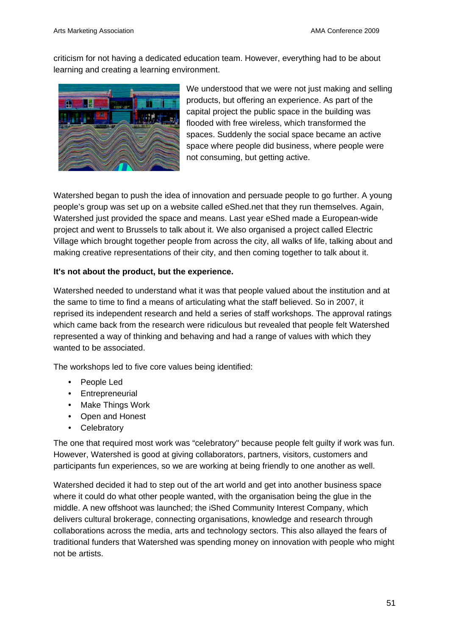criticism for not having a dedicated education team. However, everything had to be about learning and creating a learning environment.



We understood that we were not just making and selling products, but offering an experience. As part of the capital project the public space in the building was flooded with free wireless, which transformed the spaces. Suddenly the social space became an active space where people did business, where people were not consuming, but getting active.

Watershed began to push the idea of innovation and persuade people to go further. A young people's group was set up on a website called eShed.net that they run themselves. Again, Watershed just provided the space and means. Last year eShed made a European-wide project and went to Brussels to talk about it. We also organised a project called Electric Village which brought together people from across the city, all walks of life, talking about and making creative representations of their city, and then coming together to talk about it.

## **It's not about the product, but the experience.**

Watershed needed to understand what it was that people valued about the institution and at the same to time to find a means of articulating what the staff believed. So in 2007, it reprised its independent research and held a series of staff workshops. The approval ratings which came back from the research were ridiculous but revealed that people felt Watershed represented a way of thinking and behaving and had a range of values with which they wanted to be associated.

The workshops led to five core values being identified:

- People Led
- Entrepreneurial
- Make Things Work
- Open and Honest
- Celebratory

The one that required most work was "celebratory" because people felt guilty if work was fun. However, Watershed is good at giving collaborators, partners, visitors, customers and participants fun experiences, so we are working at being friendly to one another as well.

Watershed decided it had to step out of the art world and get into another business space where it could do what other people wanted, with the organisation being the glue in the middle. A new offshoot was launched; the iShed Community Interest Company, which delivers cultural brokerage, connecting organisations, knowledge and research through collaborations across the media, arts and technology sectors. This also allayed the fears of traditional funders that Watershed was spending money on innovation with people who might not be artists.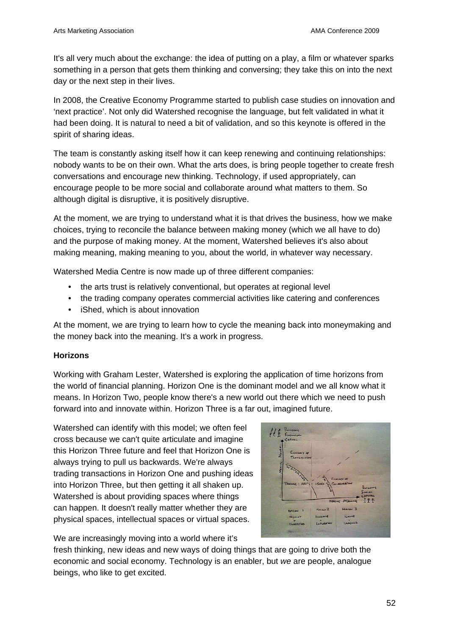It's all very much about the exchange: the idea of putting on a play, a film or whatever sparks something in a person that gets them thinking and conversing; they take this on into the next day or the next step in their lives.

In 2008, the Creative Economy Programme started to publish case studies on innovation and 'next practice'. Not only did Watershed recognise the language, but felt validated in what it had been doing. It is natural to need a bit of validation, and so this keynote is offered in the spirit of sharing ideas.

The team is constantly asking itself how it can keep renewing and continuing relationships: nobody wants to be on their own. What the arts does, is bring people together to create fresh conversations and encourage new thinking. Technology, if used appropriately, can encourage people to be more social and collaborate around what matters to them. So although digital is disruptive, it is positively disruptive.

At the moment, we are trying to understand what it is that drives the business, how we make choices, trying to reconcile the balance between making money (which we all have to do) and the purpose of making money. At the moment, Watershed believes it's also about making meaning, making meaning to you, about the world, in whatever way necessary.

Watershed Media Centre is now made up of three different companies:

- the arts trust is relatively conventional, but operates at regional level
- the trading company operates commercial activities like catering and conferences
- iShed, which is about innovation

At the moment, we are trying to learn how to cycle the meaning back into moneymaking and the money back into the meaning. It's a work in progress.

## **Horizons**

Working with Graham Lester, Watershed is exploring the application of time horizons from the world of financial planning. Horizon One is the dominant model and we all know what it means. In Horizon Two, people know there's a new world out there which we need to push forward into and innovate within. Horizon Three is a far out, imagined future.

Watershed can identify with this model; we often feel cross because we can't quite articulate and imagine this Horizon Three future and feel that Horizon One is always trying to pull us backwards. We're always trading transactions in Horizon One and pushing ideas into Horizon Three, but then getting it all shaken up. Watershed is about providing spaces where things can happen. It doesn't really matter whether they are physical spaces, intellectual spaces or virtual spaces.

We are increasingly moving into a world where it's

fresh thinking, new ideas and new ways of doing things that are going to drive both the economic and social economy. Technology is an enabler, but *we* are people, analogue beings, who like to get excited.